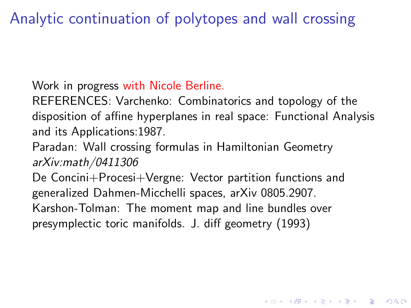Analytic continuation of polytopes and wall crossing

Work in progress with Nicole Berline.

REFERENCES: Varchenko: Combinatorics and topology of the disposition of affine hyperplanes in real space: Functional Analysis and its Applications:1987.

Paradan: Wall crossing formulas in Hamiltonian Geometry *arXiv:math/0411306*

De Concini+Procesi+Vergne: Vector partition functions and generalized Dahmen-Micchelli spaces, arXiv 0805.2907. Karshon-Tolman: The moment map and line bundles over presymplectic toric manifolds. J. diff geometry (1993)

**KORKAR KERKER E VOOR**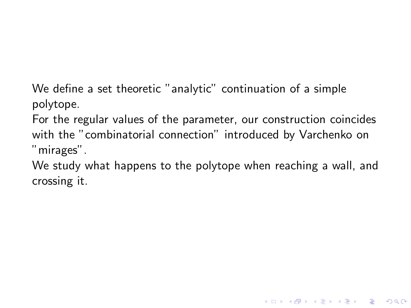We define a set theoretic "analytic" continuation of a simple polytope.

For the regular values of the parameter, our construction coincides with the "combinatorial connection" introduced by Varchenko on "mirages".

We study what happens to the polytope when reaching a wall, and crossing it.

**KOD KARD KED KED E VOOR**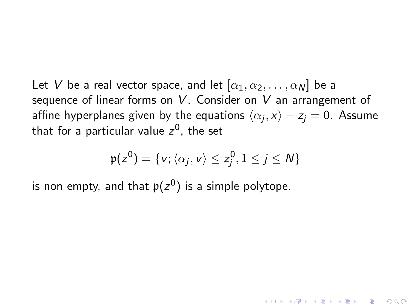Let *V* be a real vector space, and let  $[\alpha_1, \alpha_2, \ldots, \alpha_N]$  be a sequence of linear forms on *V* . Consider on *V* an arrangement of affine hyperplanes given by the equations  $\langle \alpha_j , x \rangle - z_j = 0.$  Assume that for a particular value *z* 0 , the set

$$
\mathfrak{p}(z^0) = \{v; \langle \alpha_j, v \rangle \leq z_j^0, 1 \leq j \leq N\}
$$

**A O A G A 4 O A C A G A 4 O A 4 O A A C A** 

is non empty, and that  $\mathfrak{p}(z^0)$  is a simple polytope.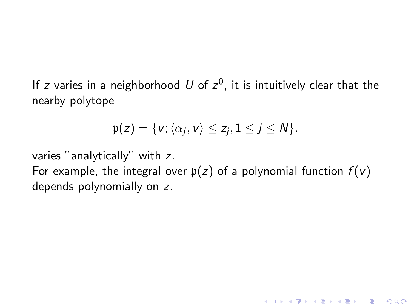If  $z$  varies in a neighborhood  $U$  of  $z^0$ , it is intuitively clear that the nearby polytope

$$
\mathfrak{p}(z) = \{v; \langle \alpha_j, v \rangle \leq z_j, 1 \leq j \leq N\}.
$$

varies "analytically" with *z*. For example, the integral over  $p(z)$  of a polynomial function  $f(v)$ depends polynomially on *z*.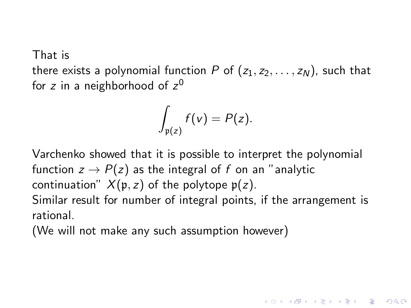That is

there exists a polynomial function *P* of  $(z_1, z_2, \ldots, z_N)$ , such that for *z* in a neighborhood of *z* 0

$$
\int_{\mathfrak{p}(z)} f(v) = P(z).
$$

Varchenko showed that it is possible to interpret the polynomial function  $z \rightarrow P(z)$  as the integral of f on an "analytic continuation"  $X(p, z)$  of the polytope  $p(z)$ .

Similar result for number of integral points, if the arrangement is rational.

4 0 > 4 4 + 4 3 + 4 3 + 5 + 9 4 0 +

(We will not make any such assumption however)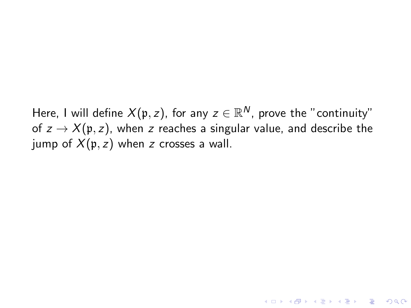Here, I will define  $X(\mathfrak{p},z)$ , for any  $z\in \mathbb{R}^N$ , prove the "continuity" of  $z \to X(\mathfrak{p}, z)$ , when *z* reaches a singular value, and describe the jump of  $X(p, z)$  when *z* crosses a wall.

**K ロ ▶ K @ ▶ K 할 X K 할 X 및 할 X Y Q Q @**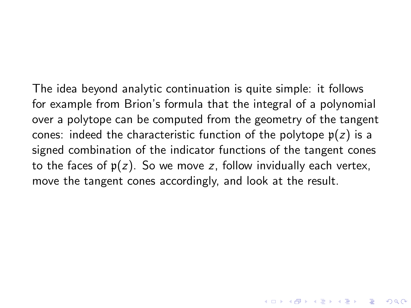The idea beyond analytic continuation is quite simple: it follows for example from Brion's formula that the integral of a polynomial over a polytope can be computed from the geometry of the tangent cones: indeed the characteristic function of the polytope  $p(z)$  is a signed combination of the indicator functions of the tangent cones to the faces of  $p(z)$ . So we move  $z$ , follow invidually each vertex, move the tangent cones accordingly, and look at the result.

YO K (FE) (E) ORA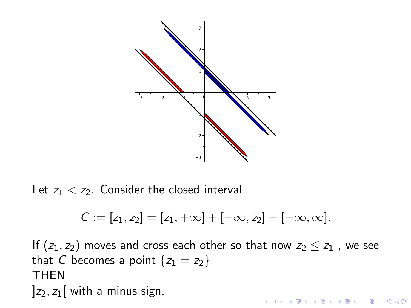

Let  $z_1 < z_2$ . Consider the closed interval

$$
C:=[z_1,z_2]=[z_1,+\infty]+[-\infty,z_2]-[-\infty,\infty].
$$

If  $(z_1, z_2)$  moves and cross each other so that now  $z_2 \leq z_1$ , we see that *C* becomes a point  ${z_1 = z_2}$ THEN  $|z_2, z_1|$  with a minus sign. **K ロ ▶ K @ ▶ K 할 X K 할 X 및 할 X Y Q Q @**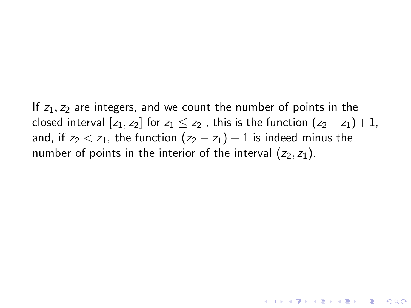If  $z_1$ ,  $z_2$  are integers, and we count the number of points in the closed interval  $[z_1, z_2]$  for  $z_1 \leq z_2$ , this is the function  $(z_2 - z_1) + 1$ , and, if  $z_2 < z_1$ , the function  $(z_2 - z_1) + 1$  is indeed minus the number of points in the interior of the interval  $(z_2, z_1)$ .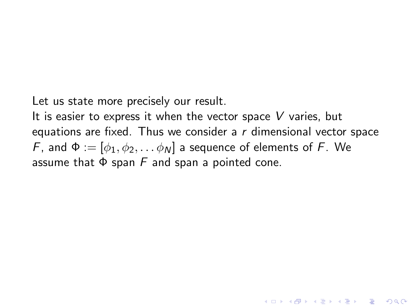Let us state more precisely our result.

It is easier to express it when the vector space *V* varies, but equations are fixed. Thus we consider a *r* dimensional vector space *F*, and  $\Phi := [\phi_1, \phi_2, \dots, \phi_N]$  a sequence of elements of *F*. We assume that Φ span *F* and span a pointed cone.

**K ロ ▶ K @ ▶ K 할 X K 할 X 및 할 X Y Q Q @**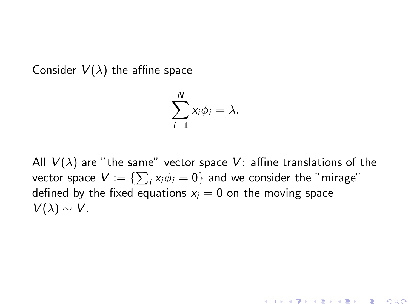Consider  $V(\lambda)$  the affine space

$$
\sum_{i=1}^N x_i \phi_i = \lambda.
$$

All  $V(\lambda)$  are "the same" vector space V: affine translations of the vector space  $V:=\{\sum_{i}x_{i}\phi_{i}=0\}$  and we consider the "mirage" defined by the fixed equations  $x_i = 0$  on the moving space  $V(\lambda) \sim V$ .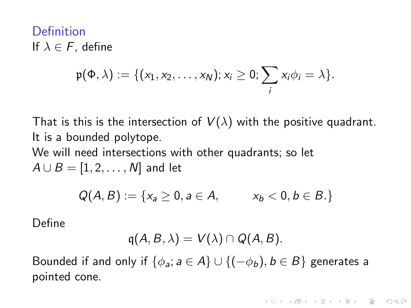Definition If  $\lambda \in F$ , define

$$
\mathfrak{p}(\Phi,\lambda):=\{(x_1,x_2,\ldots,x_N); x_i\geq 0; \sum_i x_i\phi_i=\lambda\}.
$$

That is this is the intersection of  $V(\lambda)$  with the positive quadrant. It is a bounded polytope.

We will need intersections with other quadrants; so let  $A \cup B = [1, 2, \ldots, N]$  and let

$$
Q(A, B) := \{x_a \ge 0, a \in A, \qquad x_b < 0, b \in B.\}
$$

Define

$$
q(A, B, \lambda) = V(\lambda) \cap Q(A, B).
$$

Bounded if and only if  $\{\phi_a : a \in A\} \cup \{(-\phi_b), b \in B\}$  generates a pointed cone.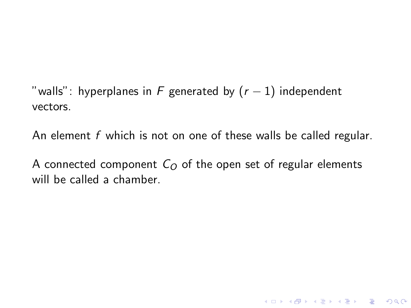"walls": hyperplanes in  $F$  generated by  $(r - 1)$  independent vectors.

An element *f* which is not on one of these walls be called regular.

A connected component  $C<sub>O</sub>$  of the open set of regular elements will be called a chamber.

**K ロ ▶ K @ ▶ K 할 X K 할 X 및 할 X Y Q Q @**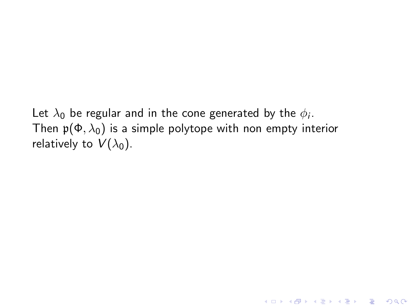Let  $\lambda_0$  be regular and in the cone generated by the  $\phi_i$ . Then  $p(\Phi, \lambda_0)$  is a simple polytope with non empty interior relatively to  $V(\lambda_0)$ .

K ロ ▶ K @ ▶ K 할 ▶ K 할 ▶ 이 할 → 9 Q Q →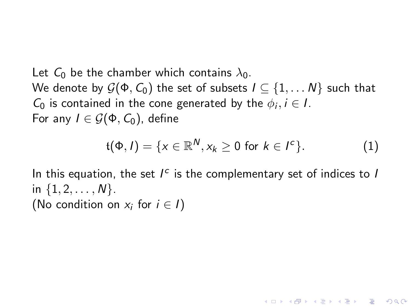Let  $C_0$  be the chamber which contains  $\lambda_0$ . We denote by  $\mathcal{G}(\Phi, \mathcal{C}_0)$  the set of subsets  $I \subseteq \{1, \ldots N\}$  such that *C*<sup>0</sup> is contained in the cone generated by the  $\phi_i, i \in I$ . For any  $I \in \mathcal{G}(\Phi, \mathcal{C}_0)$ , define

$$
\mathfrak{t}(\Phi,I)=\{x\in\mathbb{R}^N,x_k\geq 0\text{ for }k\in I^c\}.\tag{1}
$$

**YO A REPART ARM ADD** 

In this equation, the set  $I^c$  is the complementary set of indices to *I* in  $\{1, 2, \ldots, N\}$ . (No condition on  $x_i$  for  $i \in I$ )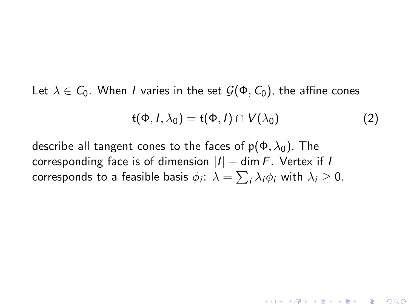Let  $\lambda \in C_0$ . When *I* varies in the set  $\mathcal{G}(\Phi, C_0)$ , the affine cones

$$
\mathfrak{t}(\Phi, I, \lambda_0) = \mathfrak{t}(\Phi, I) \cap V(\lambda_0)
$$
 (2)

**YO A REPART ARM ADD** 

describe all tangent cones to the faces of  $p(\Phi, \lambda_0)$ . The corresponding face is of dimension |*I*| − dim *F*. Vertex if *I* corresponds to a feasible basis  $\phi_i\colon\lambda=\sum_i\lambda_i\phi_i$  with  $\lambda_i\geq 0.$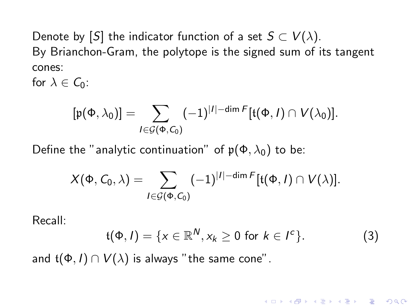Denote by [*S*] the indicator function of a set  $S \subset V(\lambda)$ . By Brianchon-Gram, the polytope is the signed sum of its tangent cones:

for  $\lambda \in C_0$ :

$$
[\mathfrak{p}(\Phi,\lambda_0)] = \sum_{I \in \mathcal{G}(\Phi,C_0)} (-1)^{|I| - \dim F} [\mathfrak{t}(\Phi,I) \cap V(\lambda_0)].
$$

Define the "analytic continuation" of  $p(\Phi, \lambda_0)$  to be:

$$
X(\Phi, C_0, \lambda) = \sum_{I \in \mathcal{G}(\Phi, C_0)} (-1)^{|I| - \dim F} [\mathfrak{t}(\Phi, I) \cap V(\lambda)].
$$

Recall:

$$
t(\Phi, I) = \{x \in \mathbb{R}^N, x_k \geq 0 \text{ for } k \in I^c\}. \tag{3}
$$

**YO A REPART ARM ADD** 

and  $\mathfrak{t}(\Phi, I) \cap V(\lambda)$  is always "the same cone".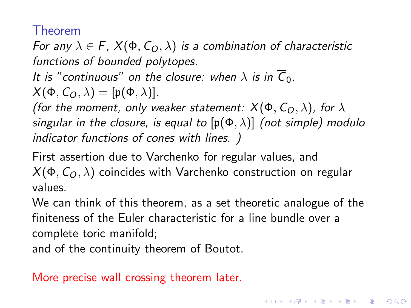## Theorem

*For any*  $\lambda \in F$ ,  $X(\Phi, C_0, \lambda)$  *is a combination of characteristic functions of bounded polytopes.*

*It is "continuous" on the closure: when*  $\lambda$  *is in*  $\overline{C}_0$ .

$$
X(\Phi, C_O, \lambda) = [\mathfrak{p}(\Phi, \lambda)].
$$

*(for the moment, only weaker statement:*  $X(\Phi, C_{\Omega}, \lambda)$ *, for*  $\lambda$ *singular in the closure, is equal to* [p(Φ, λ)] *(not simple) modulo indicator functions of cones with lines. )*

First assertion due to Varchenko for regular values, and  $X$ (Φ,  $C$ <sub>O</sub>,  $\lambda$ ) coincides with Varchenko construction on regular values.

We can think of this theorem, as a set theoretic analogue of the finiteness of the Euler characteristic for a line bundle over a complete toric manifold;

and of the continuity theorem of Boutot.

More precise wall crossing theorem later.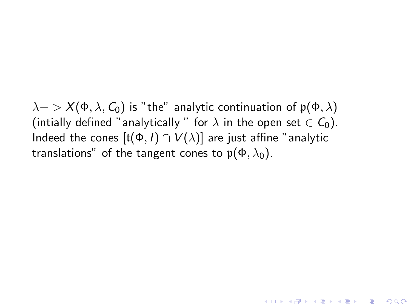$\lambda$  - >  $X(\Phi, \lambda, C_0)$  is "the" analytic continuation of  $p(\Phi, \lambda)$ (intially defined "analytically " for  $\lambda$  in the open set  $\in C_0$ ). Indeed the cones  $[t(\Phi, I) \cap V(\lambda)]$  are just affine "analytic translations" of the tangent cones to  $\mathfrak{p}(\Phi, \lambda_0)$ .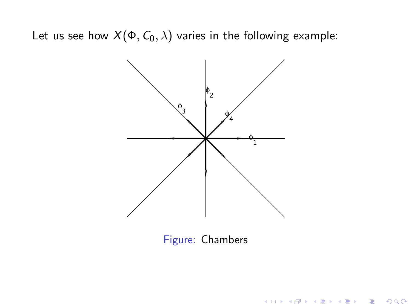Let us see how  $X(\Phi, C_0, \lambda)$  varies in the following example:



Figure: Chambers

K ロ > K @ > K 할 > K 할 > → 할 → ⊙ Q @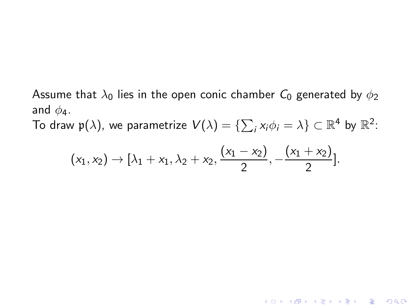Assume that  $\lambda_0$  lies in the open conic chamber  $C_0$  generated by  $\phi_2$ and  $\phi_4$ .

To draw  $\mathfrak{p}(\lambda)$ , we parametrize  $\mathcal{V}(\lambda)=\{\sum_{i}x_{i}\phi_{i}=\lambda\}\subset\mathbb{R}^{4}$  by  $\mathbb{R}^{2}$ :

$$
(x_1,x_2) \to [\lambda_1 + x_1, \lambda_2 + x_2, \frac{(x_1 - x_2)}{2}, -\frac{(x_1 + x_2)}{2}].
$$

KO K K Ø K K I K I LA LI I LA K DI K I LA LI I LA DI VIDEN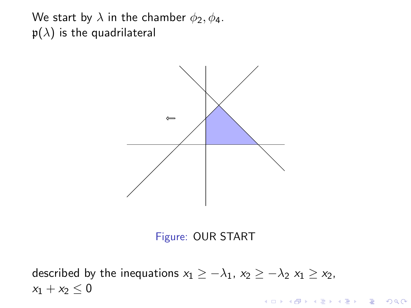We start by  $\lambda$  in the chamber  $\phi_2, \phi_4$ .  $p(\lambda)$  is the quadrilateral





described by the inequations  $x_1 \geq -\lambda_1$ ,  $x_2 \geq -\lambda_2$   $x_1 \geq x_2$ ,  $x_1 + x_2 \leq 0$ K □ ▶ K @ ▶ K 할 X K 할 X ( 할 X ) 9 Q Q ·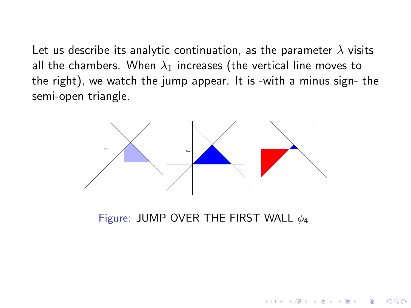Let us describe its analytic continuation, as the parameter  $\lambda$  visits all the chambers. When  $\lambda_1$  increases (the vertical line moves to the right), we watch the jump appear. It is -with a minus sign- the semi-open triangle.



Figure: JUMP OVER THE FIRST WALL  $\phi_4$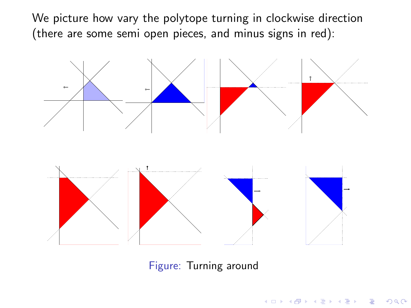We picture how vary the polytope turning in clockwise direction (there are some semi open pieces, and minus signs in red):



Figure: Turning around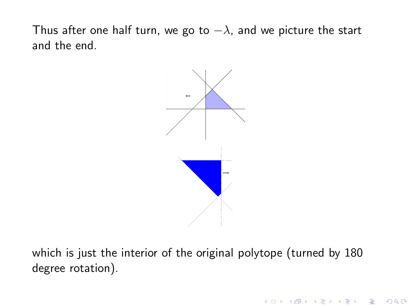Thus after one half turn, we go to  $-\lambda$ , and we picture the start and the end.



which is just the interior of the original polytope (turned by 180 degree rotation).

K ロ ▶ K @ ▶ K 할 > K 할 > 1 할 > 1 이익어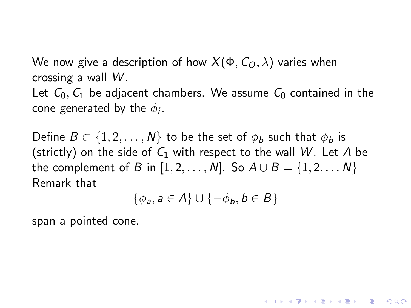We now give a description of how  $X(\Phi, C_{\Omega}, \lambda)$  varies when crossing a wall *W* .

Let  $C_0$ ,  $C_1$  be adjacent chambers. We assume  $C_0$  contained in the cone generated by the  $\phi_i.$ 

Define  $B \subset \{1, 2, \ldots, N\}$  to be the set of  $\phi_b$  such that  $\phi_b$  is (strictly) on the side of  $C_1$  with respect to the wall W. Let A be the complement of *B* in  $[1, 2, ..., N]$ . So  $A \cup B = \{1, 2, ..., N\}$ Remark that

$$
\{\phi_{a}, a \in A\} \cup \{-\phi_{b}, b \in B\}
$$

**YO A REPART ARM ADD** 

span a pointed cone.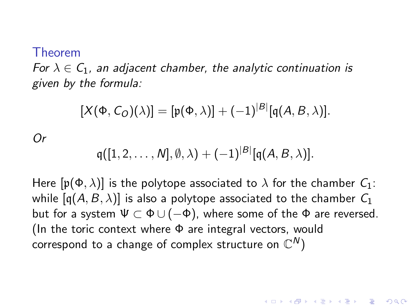## Theorem

*Or*

*For*  $\lambda \in C_1$ , an adjacent chamber, the analytic continuation is *given by the formula:*

$$
[X(\Phi, C_O)(\lambda)] = [\mathfrak{p}(\Phi, \lambda)] + (-1)^{|B|} [\mathfrak{q}(A, B, \lambda)].
$$

$$
\mathfrak{q}([1,2,\ldots,N],\emptyset,\lambda)+(-1)^{|B|}[\mathfrak{q}(A,B,\lambda)].
$$

Here  $[p(\Phi, \lambda)]$  is the polytope associated to  $\lambda$  for the chamber  $C_1$ : while  $[q(A, B, \lambda)]$  is also a polytope associated to the chamber  $C_1$ but for a system  $\Psi \subset \Phi \cup (-\Phi)$ , where some of the  $\Phi$  are reversed. (In the toric context where  $\Phi$  are integral vectors, would correspond to a change of complex structure on  $\mathbb{C}^N)$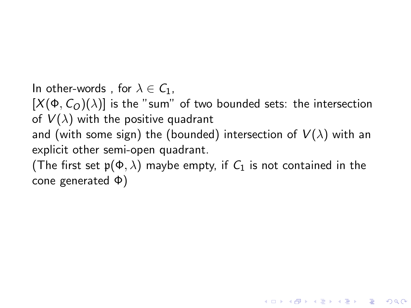In other-words, for  $\lambda \in C_1$ ,  $[X(\Phi, C_{\mathcal{O}})(\lambda)]$  is the "sum" of two bounded sets: the intersection of  $V(\lambda)$  with the positive quadrant and (with some sign) the (bounded) intersection of  $V(\lambda)$  with an explicit other semi-open quadrant. (The first set  $p(\Phi, \lambda)$  maybe empty, if  $C_1$  is not contained in the cone generated Φ)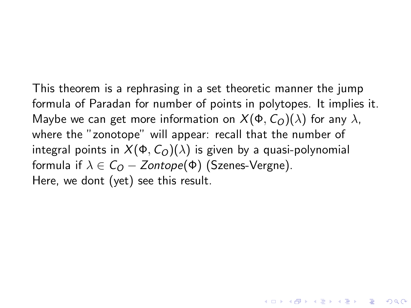This theorem is a rephrasing in a set theoretic manner the jump formula of Paradan for number of points in polytopes. It implies it. Maybe we can get more information on  $X(\Phi, C_{Q})(\lambda)$  for any  $\lambda$ , where the "zonotope" will appear: recall that the number of integral points in  $X(\Phi, C_0)(\lambda)$  is given by a quasi-polynomial formula if  $\lambda \in C_{\Omega} - Zontope(\Phi)$  (Szenes-Vergne). Here, we dont (yet) see this result.